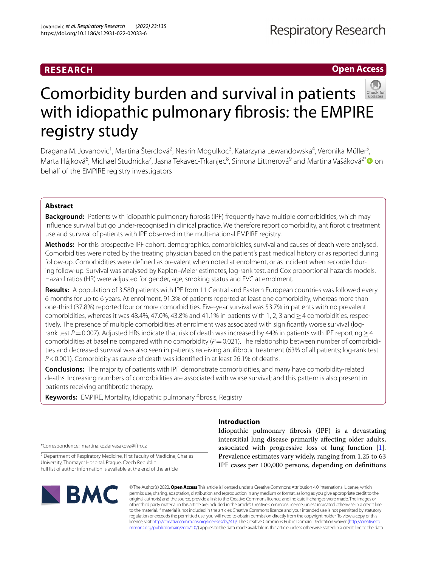# **RESEARCH**

**Open Access**



# Comorbidity burden and survival in patients with idiopathic pulmonary fibrosis: the EMPIRE registry study

Dragana M. Jovanovic<sup>1</sup>, Martina Šterclová<sup>2</sup>, Nesrin Mogulkoc<sup>3</sup>, Katarzyna Lewandowska<sup>4</sup>, Veronika Müller<sup>5</sup>, Marta Hájková<sup>6</sup>, Michael Studnicka<sup>7</sup>, Jasna Tekavec-Trkanjec<sup>8</sup>, Simona Littnerová<sup>9</sup> and Martina Vašáková<sup>2\*</sup>❶ on behalf of the EMPIRE registry investigators

# **Abstract**

**Background:** Patients with idiopathic pulmonary fbrosis (IPF) frequently have multiple comorbidities, which may infuence survival but go under-recognised in clinical practice. We therefore report comorbidity, antifbrotic treatment use and survival of patients with IPF observed in the multi-national EMPIRE registry.

**Methods:** For this prospective IPF cohort, demographics, comorbidities, survival and causes of death were analysed. Comorbidities were noted by the treating physician based on the patient's past medical history or as reported during follow-up. Comorbidities were defined as prevalent when noted at enrolment, or as incident when recorded during follow-up. Survival was analysed by Kaplan–Meier estimates, log-rank test, and Cox proportional hazards models. Hazard ratios (HR) were adjusted for gender, age, smoking status and FVC at enrolment.

**Results:** A population of 3,580 patients with IPF from 11 Central and Eastern European countries was followed every 6 months for up to 6 years. At enrolment, 91.3% of patients reported at least one comorbidity, whereas more than one-third (37.8%) reported four or more comorbidities. Five-year survival was 53.7% in patients with no prevalent comorbidities, whereas it was 48.4%, 47.0%, 43.8% and 41.1% in patients with 1, 2, 3 and  $\geq$  4 comorbidities, respectively. The presence of multiple comorbidities at enrolment was associated with signifcantly worse survival (logrank test *P*=0.007). Adjusted HRs indicate that risk of death was increased by 44% in patients with IPF reporting > 4 comorbidities at baseline compared with no comorbidity (*P* = 0.021). The relationship between number of comorbidities and decreased survival was also seen in patients receiving antifbrotic treatment (63% of all patients; log-rank test *P*<0.001). Comorbidity as cause of death was identifed in at least 26.1% of deaths.

**Conclusions:** The majority of patients with IPF demonstrate comorbidities, and many have comorbidity-related deaths. Increasing numbers of comorbidities are associated with worse survival; and this pattern is also present in patients receiving antifbrotic therapy.

**Keywords:** EMPIRE, Mortality, Idiopathic pulmonary fbrosis, Registry

\*Correspondence: martina.koziarvasakova@ftn.cz

<sup>2</sup> Department of Respiratory Medicine, First Faculty of Medicine, Charles University, Thomayer Hospital, Prague, Czech Republic Full list of author information is available at the end of the article



# **Introduction**

Idiopathic pulmonary fbrosis (IPF) is a devastating interstitial lung disease primarily afecting older adults, associated with progressive loss of lung function [\[1](#page-11-0)]. Prevalence estimates vary widely, ranging from 1.25 to 63 IPF cases per 100,000 persons, depending on defnitions

© The Author(s) 2022. **Open Access** This article is licensed under a Creative Commons Attribution 4.0 International License, which permits use, sharing, adaptation, distribution and reproduction in any medium or format, as long as you give appropriate credit to the original author(s) and the source, provide a link to the Creative Commons licence, and indicate if changes were made. The images or other third party material in this article are included in the article's Creative Commons licence, unless indicated otherwise in a credit line to the material. If material is not included in the article's Creative Commons licence and your intended use is not permitted by statutory regulation or exceeds the permitted use, you will need to obtain permission directly from the copyright holder. To view a copy of this licence, visit [http://creativecommons.org/licenses/by/4.0/.](http://creativecommons.org/licenses/by/4.0/) The Creative Commons Public Domain Dedication waiver ([http://creativeco](http://creativecommons.org/publicdomain/zero/1.0/) [mmons.org/publicdomain/zero/1.0/](http://creativecommons.org/publicdomain/zero/1.0/)) applies to the data made available in this article, unless otherwise stated in a credit line to the data.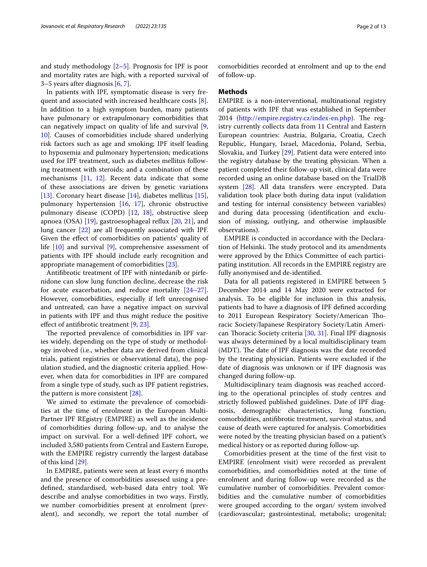and study methodology [\[2–](#page-11-1)[5\]](#page-11-2). Prognosis for IPF is poor and mortality rates are high, with a reported survival of 3–5 years after diagnosis [\[6,](#page-11-3) [7](#page-11-4)].

In patients with IPF, symptomatic disease is very frequent and associated with increased healthcare costs [\[8](#page-11-5)]. In addition to a high symptom burden, many patients have pulmonary or extrapulmonary comorbidities that can negatively impact on quality of life and survival [\[9](#page-11-6), [10\]](#page-11-7). Causes of comorbidities include shared underlying risk factors such as age and smoking; IPF itself leading to hypoxemia and pulmonary hypertension; medications used for IPF treatment, such as diabetes mellitus following treatment with steroids; and a combination of these mechanisms [\[11,](#page-11-8) [12](#page-11-9)]. Recent data indicate that some of these associations are driven by genetic variations [[13\]](#page-11-10). Coronary heart disease [[14\]](#page-11-11), diabetes mellitus [\[15](#page-11-12)], pulmonary hypertension [[16](#page-12-0), [17](#page-12-1)], chronic obstructive pulmonary disease (COPD) [\[12](#page-11-9), [18\]](#page-12-2), obstructive sleep apnoea (OSA) [\[19\]](#page-12-3), gastroesophageal refux [\[20](#page-12-4), [21](#page-12-5)], and lung cancer [\[22\]](#page-12-6) are all frequently associated with IPF. Given the efect of comorbidities on patients' quality of life [[10](#page-11-7)] and survival [\[9](#page-11-6)], comprehensive assessment of patients with IPF should include early recognition and appropriate management of comorbidities [\[23](#page-12-7)].

Antifbrotic treatment of IPF with nintedanib or pirfenidone can slow lung function decline, decrease the risk for acute exacerbation, and reduce mortality [[24](#page-12-8)[–27](#page-12-9)]. However, comorbidities, especially if left unrecognised and untreated, can have a negative impact on survival in patients with IPF and thus might reduce the positive efect of antifbrotic treatment [\[9](#page-11-6), [23\]](#page-12-7).

The reported prevalence of comorbidities in IPF varies widely, depending on the type of study or methodology involved (i.e., whether data are derived from clinical trials, patient registries or observational data), the population studied, and the diagnostic criteria applied. However, when data for comorbidities in IPF are compared from a single type of study, such as IPF patient registries, the pattern is more consistent [[28\]](#page-12-10).

We aimed to estimate the prevalence of comorbidities at the time of enrolment in the European Multi-Partner IPF REgistry (EMPIRE) as well as the incidence of comorbidities during follow-up, and to analyse the impact on survival. For a well-defned IPF cohort, we included 3,580 patients from Central and Eastern Europe, with the EMPIRE registry currently the largest database of this kind [\[29](#page-12-11)].

In EMPIRE, patients were seen at least every 6 months and the presence of comorbidities assessed using a predefned, standardised, web-based data entry tool. We describe and analyse comorbidities in two ways. Firstly, we number comorbidities present at enrolment (prevalent), and secondly, we report the total number of comorbidities recorded at enrolment and up to the end

#### **Methods**

of follow-up.

EMPIRE is a non-interventional, multinational registry of patients with IPF that was established in September  $2014$  [\(http://empire.registry.cz/index-en.php\)](http://empire.registry.cz/index-en.php). The registry currently collects data from 11 Central and Eastern European countries: Austria, Bulgaria, Croatia, Czech Republic, Hungary, Israel, Macedonia, Poland, Serbia, Slovakia, and Turkey [\[29](#page-12-11)]. Patient data were entered into the registry database by the treating physician. When a patient completed their follow-up visit, clinical data were recorded using an online database based on the TrialDB system [[28\]](#page-12-10). All data transfers were encrypted. Data validation took place both during data input (validation and testing for internal consistency between variables) and during data processing (identifcation and exclusion of missing, outlying, and otherwise implausible observations).

EMPIRE is conducted in accordance with the Declaration of Helsinki. The study protocol and its amendments were approved by the Ethics Committee of each participating institution. All records in the EMPIRE registry are fully anonymised and de-identifed.

Data for all patients registered in EMPIRE between 5 December 2014 and 14 May 2020 were extracted for analysis. To be eligible for inclusion in this analysis, patients had to have a diagnosis of IPF defned according to 2011 European Respiratory Society/American Thoracic Society/Japanese Respiratory Society/Latin Ameri-can Thoracic Society criteria [\[30](#page-12-12), [31\]](#page-12-13). Final IPF diagnosis was always determined by a local multidisciplinary team (MDT). The date of IPF diagnosis was the date recorded by the treating physician. Patients were excluded if the date of diagnosis was unknown or if IPF diagnosis was changed during follow-up.

Multidisciplinary team diagnosis was reached according to the operational principles of study centres and strictly followed published guidelines. Date of IPF diagnosis, demographic characteristics, lung function, comorbidities, antifbrotic treatment, survival status, and cause of death were captured for analysis. Comorbidities were noted by the treating physician based on a patient's medical history or as reported during follow-up.

Comorbidities present at the time of the frst visit to EMPIRE (enrolment visit) were recorded as prevalent comorbidities, and comorbidities noted at the time of enrolment and during follow-up were recorded as the cumulative number of comorbidities. Prevalent comorbidities and the cumulative number of comorbidities were grouped according to the organ/ system involved (cardiovascular; gastrointestinal, metabolic; urogenital;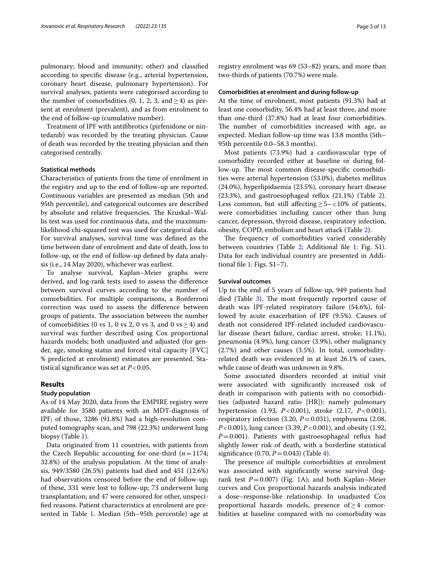pulmonary; blood and immunity; other) and classifed according to specifc disease (e.g., arterial hypertension, coronary heart disease, pulmonary hypertension). For survival analyses, patients were categorised according to the number of comorbidities (0, 1, 2, 3, and  $\geq$  4) as present at enrolment (prevalent), and as from enrolment to the end of follow-up (cumulative number).

Treatment of IPF with antifbrotics (pirfenidone or nintedanib) was recorded by the treating physician. Cause of death was recorded by the treating physician and then categorised centrally.

#### **Statistical methods**

Characteristics of patients from the time of enrolment in the registry and up to the end of follow-up are reported. Continuous variables are presented as median (5th and 95th percentile), and categorical outcomes are described by absolute and relative frequencies. The Kruskal–Wallis test was used for continuous data, and the maximumlikelihood chi-squared test was used for categorical data. For survival analyses, survival time was defned as the time between date of enrolment and date of death, loss to follow-up, or the end of follow-up defned by data analysis (i.e., 14 May 2020), whichever was earliest.

To analyse survival, Kaplan–Meier graphs were derived, and log-rank tests used to assess the diference between survival curves according to the number of comorbidities. For multiple comparisons, a Bonferroni correction was used to assess the diference between groups of patients. The association between the number of comorbidities (0 vs 1, 0 vs 2, 0 vs 3, and 0 vs  $\geq$  4) and survival was further described using Cox proportional hazards models; both unadjusted and adjusted (for gender, age, smoking status and forced vital capacity [FVC] % predicted at enrolment) estimates are presented. Statistical signifcance was set at *P*<0.05.

## **Results**

### **Study population**

As of 14 May 2020, data from the EMPIRE registry were available for 3580 patients with an MDT-diagnosis of IPF; of those, 3286 (91.8%) had a high-resolution computed tomography scan, and 798 (22.3%) underwent lung biopsy (Table [1](#page-3-0)).

Data originated from 11 countries, with patients from the Czech Republic accounting for one-third  $(n=1174;$ 32.8%) of the analysis population. At the time of analysis, 949/3580 (26.5%) patients had died and 451 (12.6%) had observations censored before the end of follow-up; of these, 331 were lost to follow-up; 73 underwent lung transplantation; and 47 were censored for other, unspecifed reasons. Patient characteristics at enrolment are pre-sented in Table [1.](#page-3-0) Median (5th–95th percentile) age at registry enrolment was 69 (53–82) years, and more than two-thirds of patients (70.7%) were male.

## **Comorbidities at enrolment and during follow‑up**

At the time of enrolment, most patients (91.3%) had at least one comorbidity, 56.4% had at least three, and more than one-third (37.8%) had at least four comorbidities. The number of comorbidities increased with age, as expected. Median follow-up time was 13.8 months (5th– 95th percentile 0.0–58.3 months).

Most patients (73.9%) had a cardiovascular type of comorbidity recorded either at baseline or during follow-up. The most common disease-specific comorbidities were arterial hypertension (53.0%), diabetes mellitus (24.0%), hyperlipidaemia (23.5%), coronary heart disease (23.3%), and gastroesophageal refux (21.1%) (Table [2](#page-4-0)). Less common, but still affecting≥5–<10% of patients, were comorbidities including cancer other than lung cancer, depression, thyroid disease, respiratory infection, obesity, COPD, embolism and heart attack (Table [2](#page-4-0)).

The frequency of comorbidities varied considerably between countries (Table [2](#page-4-0); Additional fle [1](#page-10-0): Fig. S1). Data for each individual country are presented in Additional fle [1](#page-10-0): Figs. S1–7).

#### **Survival outcomes**

Up to the end of 5 years of follow-up, 949 patients had died (Table  $3$ ). The most frequently reported cause of death was IPF-related respiratory failure (54.6%), followed by acute exacerbation of IPF (9.5%). Causes of death not considered IPF-related included cardiovascular disease (heart failure, cardiac arrest, stroke; 11.1%), pneumonia (4.9%), lung cancer (3.9%), other malignancy (2.7%) and other causes (3.5%). In total, comorbidityrelated death was evidenced in at least 26.1% of cases, while cause of death was unknown in 9.8%.

Some associated disorders recorded at initial visit were associated with signifcantly increased risk of death in comparison with patients with no comorbidities (adjusted hazard ratio [HR]): namely pulmonary hypertension (1.93, *P*<0.001), stroke (2.17, *P*<0.001), respiratory infection (3.20, *P*=0.031), emphysema (2.08, *P*<0.001), lung cancer (3.39, *P*<0.001), and obesity (1.92, *P*=0.001). Patients with gastroesophageal refux had slightly lower risk of death, with a borderline statistical signifcance (0.70, *P*=0.043) (Table [4\)](#page-6-0).

The presence of multiple comorbidities at enrolment was associated with signifcantly worse survival (logrank test  $P=0.007$ ) (Fig. [1A](#page-7-0)); and both Kaplan–Meier curves and Cox proportional hazards analysis indicated a dose–response-like relationship. In unadjusted Cox proportional hazards models, presence of≥4 comorbidities at baseline compared with no comorbidity was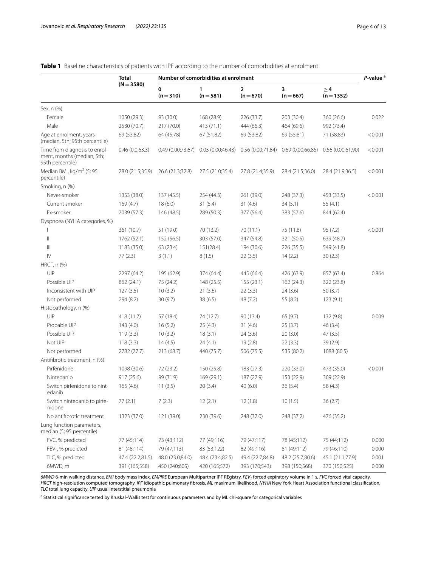# <span id="page-3-0"></span>**Table 1** Baseline characteristics of patients with IPF according to the number of comorbidities at enrolment

|                                                                                 | <b>Total</b><br>$(N = 3580)$      | Number of comorbidities at enrolment |                                   |                                   |                                   |                                   | P-value <sup>a</sup> |
|---------------------------------------------------------------------------------|-----------------------------------|--------------------------------------|-----------------------------------|-----------------------------------|-----------------------------------|-----------------------------------|----------------------|
|                                                                                 |                                   | 0<br>$(n=310)$                       | 1<br>$(n = 581)$                  | $\overline{2}$<br>$(n=670)$       | 3<br>$(n=667)$                    | $\geq 4$<br>$(n=1352)$            |                      |
| Sex, n (%)                                                                      |                                   |                                      |                                   |                                   |                                   |                                   |                      |
| Female                                                                          | 1050 (29.3)                       | 93 (30.0)                            | 168 (28.9)                        | 226 (33.7)                        | 203 (30.4)                        | 360 (26.6)                        | 0.022                |
| Male                                                                            | 2530 (70.7)                       | 217 (70.0)                           | 413 (71.1)                        | 444 (66.3)                        | 464 (69.6)                        | 992 (73.4)                        |                      |
| Age at enrolment, years<br>(median, 5th; 95th percentile)                       | 69 (53;82)                        | 64 (45;78)                           | 67 (51;82)                        | 69 (53;82)                        | 69 (55;81)                        | 71 (58;83)                        | < 0.001              |
| Time from diagnosis to enrol-<br>ment, months (median, 5th;<br>95th percentile) | 0.46(0.0;63.3)                    | 0.49(0.00;73.67)                     | 0.03(0.00;46.43)                  | 0.56(0.00;71.84)                  | 0.69(0.00;66.85)                  | 0.56(0.00;61.90)                  | < 0.001              |
| Median BMI, kg/m <sup>2</sup> (5; 95<br>percentile)                             | 28.0 (21.5;35.9)                  | 26.6 (21.3;32.8)                     | 27.5 (21.0;35.4)                  | 27.8 (21.4;35.9)                  | 28.4 (21.5;36.0)                  | 28.4 (21.9;36.5)                  | < 0.001              |
| Smoking, n (%)                                                                  |                                   |                                      |                                   |                                   |                                   |                                   |                      |
| Never-smoker                                                                    | 1353 (38.0)                       | 137 (45.5)                           | 254 (44.3)                        | 261 (39.0)                        | 248 (37.3)                        | 453 (33.5)                        | < 0.001              |
| Current smoker                                                                  | 169(4.7)                          | 18(6.0)                              | 31(5.4)                           | 31(4.6)                           | 34(5.1)                           | 55(4.1)                           |                      |
| Ex-smoker                                                                       | 2039 (57.3)                       | 146 (48.5)                           | 289 (50.3)                        | 377 (56.4)                        | 383 (57.6)                        | 844 (62.4)                        |                      |
| Dyspnoea (NYHA categories, %)                                                   |                                   |                                      |                                   |                                   |                                   |                                   |                      |
|                                                                                 | 361 (10.7)                        | 51 (19.0)                            | 70 (13.2)                         | 70 (11.1)                         | 75 (11.8)                         | 95(7.2)                           | < 0.001              |
| $\parallel$                                                                     | 1762 (52.1)                       | 152 (56.5)                           | 303 (57.0)                        | 347 (54.8)                        | 321 (50.5)                        | 639 (48.7)                        |                      |
| Ш                                                                               | 1183 (35.0)                       | 63 (23.4)                            | 151(28.4)                         | 194 (30.6)                        | 226 (35.5)                        | 549 (41.8)                        |                      |
| $\mathsf{IV}$                                                                   | 77(2.3)                           | 3(1.1)                               | 8(1.5)                            | 22(3.5)                           | 14(2.2)                           | 30(2.3)                           |                      |
| HRCT, n (%)                                                                     |                                   |                                      |                                   |                                   |                                   |                                   |                      |
| UIP                                                                             | 2297 (64.2)                       | 195 (62.9)                           | 374 (64.4)                        | 445 (66.4)                        | 426 (63.9)                        | 857 (63.4)                        | 0.864                |
| Possible UIP                                                                    | 862 (24.1)                        | 75 (24.2)                            | 148(25.5)                         | 155(23.1)                         | 162 (24.3)                        | 322 (23.8)                        |                      |
| Inconsistent with UIP                                                           | 127(3.5)                          | 10(3.2)                              | 21(3.6)                           | 22(3.3)                           | 24(3.6)                           | 50 (3.7)                          |                      |
| Not performed                                                                   | 294 (8.2)                         | 30 (9.7)                             | 38(6.5)                           | 48 (7.2)                          | 55 (8.2)                          | 123(9.1)                          |                      |
| Histopathology, n (%)                                                           |                                   |                                      |                                   |                                   |                                   |                                   |                      |
| UIP                                                                             | 418 (11.7)                        | 57 (18.4)                            | 74 (12.7)                         | 90 (13.4)                         | 65(9.7)                           | 132 (9.8)                         | 0.009                |
| Probable UIP                                                                    | 143(4.0)                          | 16(5.2)                              | 25(4.3)                           | 31(4.6)                           | 25(3.7)                           | 46(3.4)                           |                      |
| Possible UIP                                                                    | 119(3.3)                          | 10(3.2)                              | 18(3.1)                           | 24(3.6)                           | 20(3.0)                           | 47(3.5)                           |                      |
| Not UIP                                                                         | 118(3.3)                          | 14(4.5)                              | 24(4.1)                           | 19(2.8)                           | 22(3.3)                           | 39 (2.9)                          |                      |
| Not performed                                                                   | 2782 (77.7)                       | 213 (68.7)                           | 440 (75.7)                        | 506 (75.5)                        | 535 (80.2)                        | 1088 (80.5)                       |                      |
| Antifibrotic treatment, n (%)                                                   |                                   |                                      |                                   |                                   |                                   |                                   |                      |
| Pirfenidone                                                                     | 1098 (30.6)                       | 72 (23.2)                            | 150 (25.8)                        | 183 (27.3)                        | 220 (33.0)                        | 473 (35.0)                        | < 0.001              |
| Nintedanib                                                                      | 917(25.6)                         | 99 (31.9)                            | 169 (29.1)                        | 187 (27.9)                        | 153 (22.9)                        | 309 (22.9)                        |                      |
| Switch pirfenidone to nint-<br>edanib                                           | 165(4.6)                          | 11(3.5)                              | 20(3.4)                           | 40(6.0)                           | 36(5.4)                           | 58 (4.3)                          |                      |
| Switch nintedanib to pirfe-<br>nidone                                           | 77(2.1)                           | 7(2.3)                               | 12(2.1)                           | 12(1.8)                           | 10(1.5)                           | 36(2.7)                           |                      |
| No antifibrotic treatment                                                       | 1323 (37.0)                       | 121 (39.0)                           | 230 (39.6)                        | 248 (37.0)                        | 248 (37.2)                        | 476 (35.2)                        |                      |
| Lung function parameters,<br>median (5; 95 percentile)                          |                                   |                                      |                                   |                                   |                                   |                                   |                      |
| FVC, % predicted                                                                | 77 (45;114)                       | 73 (43;112)                          | 77 (49;116)                       | 79 (47;117)                       | 78 (45;112)                       | 75 (44;112)                       | 0.000                |
| FEV <sub>1</sub> , % predicted                                                  | 81 (48;114)                       | 79 (47;113)                          | 83 (53;122)                       | 82 (49;116)                       | 81 (49;112)                       | 79 (46;110)                       | 0.000                |
| TLC, % predicted<br>6MWD, m                                                     | 47.4 (22.2;81.5)<br>391 (165;558) | 48.0 (23.0;84.0)<br>450 (240;605)    | 48.4 (23.4;82.5)<br>420 (165;572) | 49.4 (22.7;84.8)<br>393 (170;543) | 48.2 (25.7;80.6)<br>398 (150;568) | 45.1 (21.1;77.9)<br>370 (150;525) | 0.001<br>0.000       |

6MWD 6-min walking distance, *BMI* body mass index, *EMPIRE* European Multipartner IPF REgistry, *FEV<sub>1</sub>* forced expiratory volume in 1 s, *FVC* forced vital capacity, *HRCT* high-resolution computed tomography, *IPF* idiopathic pulmonary fbrosis, *ML* maximum likelihood, *NYHA* New York Heart Association functional classifcation, *TLC* total lung capacity, *UIP* usual interstitial pneumonia

a Statistical significance tested by Kruskal–Wallis test for continuous parameters and by ML chi-square for categorical variables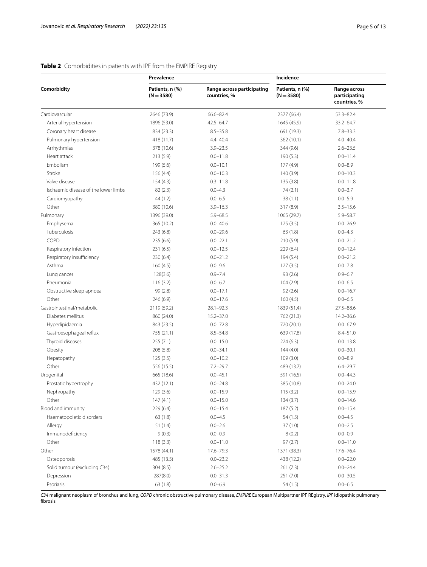## **Prevalence Incidence Comorbidity Patients, n (%) (N**=**3580) Range across participating countries, % Patients, n (%) (N**=**3580) Range across participating countries, %** Cardiovascular 2646 (73.9) 66.6–82.4 2377 (66.4) 53.3–82.4 Arterial hypertension 1896 (53.0) 42.5–64.7 1645 (45.9) 33.2–64.7 Coronary heart disease 834 (23.3) 8.5–35.8 691 (19.3) 7.8–33.3 Pulmonary hypertension 418 (11.7) 4.4–40.4 362 (10.1) 4.0–40.4 Arrhythmias 378 (10.6) 3.9–23.5 344 (9.6) 2.6–23.5 Heart attack 213 (5.9) 0.0–11.8 190 (5.3) 0.0–11.8 190 (5.3) 0.0–11.4 Embolism 199 (5.6) 0.0–10.1 177 (4.9) 0.0–8.9 Stroke 156 (4.4) 0.0–10.3 140 (3.9) 0.0–10.3 Valve disease 154 (4.3) 154 (4.3) 0.3–11.8 135 (3.8) 0.0–11.8 Ischaemic disease of the lower limbs 82 (2.3) 0.0–4.3 74 (2.1) 0.0–3.7 Cardiomyopathy 0.0–5.9 44 (1.2) 0.0–6.5 38 (1.1) 0.0–5.9 Other 380 (10.6) 3.9–16.3 317 (8.9) 3.5–15.6 Pulmonary 1396 (39.0) 5.9–68.5 1065 (29.7) 5.9–58.7 Emphysema 365 (10.2) 0.0–40.6 125 (3.5) 0.0–26.9 Tuberculosis 243 (6.8) 0.0–29.6 63 (1.8) 0.0–4.3 COPD 235 (6.6) 0.0–22.1 210 (5.9) 0.0–21.2 Respiratory infection 231 (6.5) 0.0–12.5 229 (6.4) 0.0–12.4 Respiratory insufficiency 230 (6.4) 0.0–21.2 194 (5.4) 0.0–21.2 0.0–21.2 Asthma 160 (4.5) 0.0–9.6 127 (3.5) 0.0–7.8 0.0–7.8 Lung cancer 128(3.6) 0.9–7.4 93 (2.6) 0.9–6.7 Pneumonia 116 (3.2) 0.0–6.7 104 (2.9) 0.0–6.5 Obstructive sleep apnoea 99 (2.8) 0.0–17.1 92 (2.6) 0.0–16.7 Other 2006 10.0–6.5 246 (6.9) 0.0–17.6 160 (4.5) 0.0–6.5 Gastrointestinal/metabolic 2119 (59.2) 28.1–92.3 1839 (51.4) 27.5–88.6 Diabetes mellitus 860 (24.0) 15.2–37.0 762 (21.3) 14.2–36.6 Hyperlipidaemia 843 (23.5) 0.0–72.8 720 (20.1) 0.0–67.9 Gastroesophageal reflux 755 (21.1) 8.5–54.8 639 (17.8) 8.4–51.0 Thyroid diseases 255 (7.1) 0.0–15.0 224 (6.3) 0.0–13.8 Obesity 208 (5.8) 0.0–34.1 144 (4.0) 0.0–30.1 Hepatopathy 125 (3.5) 0.0–10.2 109 (3.0) 0.0–8.9 Other 556 (15.5) 7.2–29.7 489 (13.7) 6.4–29.7 Urogenital 665 (18.6) 0.0–45.1 591 (16.5) 0.0–44.3 Prostatic hypertrophy **432 (12.1)** 0.0–24.8 385 (10.8) 0.0–24.0 Nephropathy 129 (3.6) 0.0–15.9 115 (3.2) 0.0–15.9 Other 147 (4.1) 0.0–15.0 134 (3.7) 0.0–14.6 Blood and immunity 229 (6.4) 0.0–15.4 187 (5.2) 0.0–15.4 Haematopoietic disorders 63 (1.8) 63 (1.8) 0.0–4.5 54 (1.5) 0.0–4.5 Allergy 6.0–2.5 (1.4) 51 (1.4) 0.0–2.6 37 (1.0) 0.0–2.5 (1.9) Immunodefciency 9 (0.3) 0.0–0.9 8 (0.2) 0.0–0.9 Other 2012 118 (3.3) 0.0–11.0 0.0–11.0 97 (2.7) 0.0–11.0 Other 1578 (44.1) 17.6–79.3 1371 (38.3) 17.6–76.4 Osteoporosis 485 (13.5) 0.0–23.2 438 (12.2) 0.0–22.0 Solid tumour (excluding C34) 304 (8.5) 2.6–25.2 261 (7.3) 0.0–24.4 Depression 287(8.0) 0.0–31.3 251 (7.0) 0.0–30.5 Psoriasis 63 (1.8) 63 (1.8) 0.0–6.9 54 (1.5) 0.0–6.9 54 (1.5) 0.0–6.5

## <span id="page-4-0"></span>**Table 2** Comorbidities in patients with IPF from the EMPIRE Registry

*C34* malignant neoplasm of bronchus and lung, *COPD* chronic obstructive pulmonary disease, *EMPIRE* European Multipartner IPF REgistry, *IPF* idiopathic pulmonary fbrosis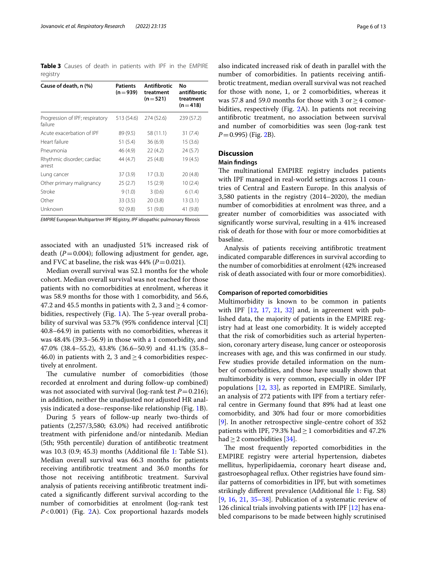<span id="page-5-0"></span>**Table 3** Causes of death in patients with IPF in the EMPIRE registry

| Cause of death, n (%)                      | <b>Patients</b><br>$(n=939)$ | Antifibrotic<br>treatment<br>$(n=521)$ | No<br>antifibrotic<br>treatment<br>$(n=418)$ |
|--------------------------------------------|------------------------------|----------------------------------------|----------------------------------------------|
| Progression of IPF; respiratory<br>failure | 513 (54.6)                   | 274 (52.6)                             | 239 (57.2)                                   |
| Acute exacerbation of IPF                  | 89 (9.5)                     | 58 (11.1)                              | 31 (7.4)                                     |
| Heart failure                              | 51(5.4)                      | 36(6.9)                                | 15(3.6)                                      |
| Pneumonia                                  | 46 (4.9)                     | 22(4.2)                                | 24(5.7)                                      |
| Rhythmic disorder; cardiac<br>arrest       | 44 (4.7)                     | 25(4.8)                                | 19 (4.5)                                     |
| Lung cancer                                | 37(3.9)                      | 17(3.3)                                | 20(4.8)                                      |
| Other primary malignancy                   | 25(2.7)                      | 15(2.9)                                | 10(2.4)                                      |
| Stroke                                     | 9(1.0)                       | 3(0.6)                                 | 6(1.4)                                       |
| Other                                      | 33(3.5)                      | 20(3.8)                                | 13(3.1)                                      |
| Unknown                                    | 92 (9.8)                     | 51 (9.8)                               | 41 (9.8)                                     |

*EMPIRE* European Multipartner IPF REgistry, *IPF* idiopathic pulmonary fbrosis

associated with an unadjusted 51% increased risk of death  $(P=0.004)$ ; following adjustment for gender, age, and FVC at baseline, the risk was  $44\%$  ( $P=0.021$ ).

Median overall survival was 52.1 months for the whole cohort. Median overall survival was not reached for those patients with no comorbidities at enrolment, whereas it was 58.9 months for those with 1 comorbidity, and 56.6, 47.2 and 45.5 months in patients with 2, 3 and  $\geq$  4 comorbidities, respectively (Fig.  $1A$ ). The 5-year overall probability of survival was 53.7% (95% confidence interval [CI] 40.8–64.9) in patients with no comorbidities, whereas it was 48.4% (39.3–56.9) in those with a 1 comorbidity, and 47.0% (38.4–55.2), 43.8% (36.6–50.9) and 41.1% (35.8– 46.0) in patients with 2, 3 and  $>$  4 comorbidities respectively at enrolment.

The cumulative number of comorbidities (those recorded at enrolment and during follow-up combined) was not associated with survival (log-rank test  $P=0.216$ ); in addition, neither the unadjusted nor adjusted HR analysis indicated a dose–response-like relationship (Fig. [1](#page-7-0)B).

During 5 years of follow-up nearly two-thirds of patients (2,257/3,580; 63.0%) had received antifbrotic treatment with pirfenidone and/or nintedanib. Median (5th; 95th percentile) duration of antifbrotic treatment was 10.3 (0.9; 45.3) months (Additional fle [1](#page-10-0): Table S1). Median overall survival was 66.3 months for patients receiving antifbrotic treatment and 36.0 months for those not receiving antifbrotic treatment. Survival analysis of patients receiving antifbrotic treatment indicated a signifcantly diferent survival according to the number of comorbidities at enrolment (log-rank test *P*<0.001) (Fig. [2](#page-8-0)A). Cox proportional hazards models also indicated increased risk of death in parallel with the number of comorbidities. In patients receiving antifbrotic treatment, median overall survival was not reached for those with none, 1, or 2 comorbidities, whereas it was 57.8 and 59.0 months for those with 3 or≥4 comorbidities, respectively (Fig. [2](#page-8-0)A). In patients not receiving antifbrotic treatment, no association between survival and number of comorbidities was seen (log-rank test *P*=0.995) (Fig. [2](#page-8-0)B).

# **Discussion**

#### **Main fndings**

The multinational EMPIRE registry includes patients with IPF managed in real-world settings across 11 countries of Central and Eastern Europe. In this analysis of 3,580 patients in the registry (2014–2020), the median number of comorbidities at enrolment was three, and a greater number of comorbidities was associated with signifcantly worse survival, resulting in a 41% increased risk of death for those with four or more comorbidities at baseline.

Analysis of patients receiving antifbrotic treatment indicated comparable diferences in survival according to the number of comorbidities at enrolment (42% increased risk of death associated with four or more comorbidities).

## **Comparison of reported comorbidities**

Multimorbidity is known to be common in patients with IPF  $[12, 17, 21, 32]$  $[12, 17, 21, 32]$  $[12, 17, 21, 32]$  $[12, 17, 21, 32]$  $[12, 17, 21, 32]$  $[12, 17, 21, 32]$  $[12, 17, 21, 32]$  $[12, 17, 21, 32]$  and, in agreement with published data, the majority of patients in the EMPIRE registry had at least one comorbidity. It is widely accepted that the risk of comorbidities such as arterial hypertension, coronary artery disease, lung cancer or osteoporosis increases with age, and this was confrmed in our study. Few studies provide detailed information on the number of comorbidities, and those have usually shown that multimorbidity is very common, especially in older IPF populations [\[12,](#page-11-9) [33\]](#page-12-15), as reported in EMPIRE. Similarly, an analysis of 272 patients with IPF from a tertiary referral centre in Germany found that 89% had at least one comorbidity, and 30% had four or more comorbidities [[9\]](#page-11-6). In another retrospective single-centre cohort of 352 patients with IPF, 79.3% had  $\geq$  1 comorbidities and 47.2% had  $>$  2 comorbidities [[34\]](#page-12-16).

The most frequently reported comorbidities in the EMPIRE registry were arterial hypertension, diabetes mellitus, hyperlipidaemia, coronary heart disease and, gastroesophageal refux. Other registries have found similar patterns of comorbidities in IPF, but with sometimes strikingly diferent prevalence (Additional fle [1:](#page-10-0) Fig. S8)  $[9, 16, 21, 35-38]$  $[9, 16, 21, 35-38]$  $[9, 16, 21, 35-38]$  $[9, 16, 21, 35-38]$  $[9, 16, 21, 35-38]$  $[9, 16, 21, 35-38]$  $[9, 16, 21, 35-38]$  $[9, 16, 21, 35-38]$  $[9, 16, 21, 35-38]$ . Publication of a systematic review of 126 clinical trials involving patients with IPF [[12](#page-11-9)] has enabled comparisons to be made between highly scrutinised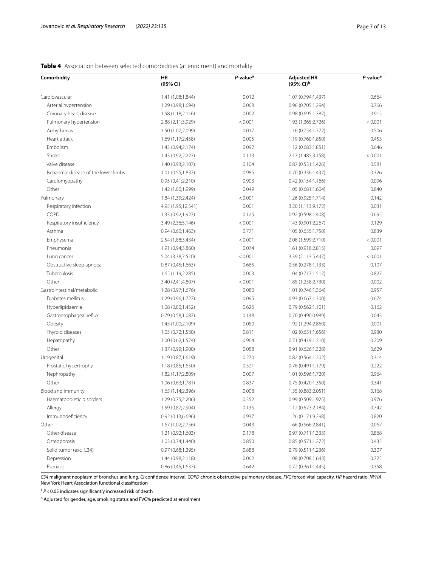| Comorbidity                          | <b>HR</b><br>(95% CI) | P-value <sup>a</sup> | <b>Adjusted HR</b><br>$(95\%$ CI) <sup>b</sup> | P-value <sup>a</sup> |
|--------------------------------------|-----------------------|----------------------|------------------------------------------------|----------------------|
| Cardiovascular                       | 1.41 (1.08;1.844)     | 0.012                | 1.07 (0.794;1.437)                             | 0.664                |
| Arterial hypertension                | 1.29 (0.98;1.694)     | 0.068                | 0.96 (0.705;1.294)                             | 0.766                |
| Coronary heart disease               | 1.58 (1.18;2.116)     | 0.002                | 0.98(0.695;1.387)                              | 0.915                |
| Pulmonary hypertension               | 2.88 (2.11;3.929)     | < 0.001              | 1.93 (1.365;2.726)                             | < 0.001              |
| Arrhythmias                          | 1.50 (1.07;2.099)     | 0.017                | 1.16 (0.754;1.772)                             | 0.506                |
| Heart attack                         | 1.69 (1.17;2.458)     | 0.005                | 1.19 (0.760;1.850)                             | 0.453                |
| Embolism                             | 1.43 (0.94;2.174)     | 0.092                | 1.12 (0.683;1.851)                             | 0.646                |
| Stroke                               | 1.43 (0.92;2.223)     | 0.113                | 2.17 (1.485;3.158)                             | < 0.001              |
| Valve disease                        | 1.40 (0.93;2.107)     | 0.104                | 0.87(0.531;1.426)                              | 0.581                |
| Ischaemic disease of the lower limbs | 1.01(0.55;1.837)      | 0.985                | 0.70(0.336;1.437)                              | 0.326                |
| Cardiomyopathy                       | 0.95(0.41;2.210)      | 0.903                | 0.42(0.154;1.166)                              | 0.096                |
| Other                                | 1.42 (1.00;1.999)     | 0.049                | 1.05 (0.681;1.604)                             | 0.840                |
| Pulmonary                            | 1.84 (1.39;2.424)     | < 0.001              | 1.26 (0.925;1.714)                             | 0.142                |
| Respiratory infection                | 4.95 (1.95;12.541)    | 0.001                | 3.20 (1.113;9.172)                             | 0.031                |
| COPD                                 | 1.33 (0.92;1.927)     | 0.125                | 0.92 (0.598;1.408)                             | 0.695                |
| Respiratory insufficiency            | 3.49 (2.36;5.146)     | < 0.001              | 1.43 (0.901;2.267)                             | 0.129                |
| Asthma                               | 0.94(0.60;1.463)      | 0.771                | 1.05 (0.635;1.750)                             | 0.839                |
| Emphysema                            | 2.54 (1.88;3.434)     | < 0.001              | 2.08 (1.599;2.710)                             | < 0.001              |
| Pneumonia                            | 1.91 (0.94;3.860)     | 0.074                | 1.61 (0.918;2.815)                             | 0.097                |
| Lung cancer                          | 5.04 (3.38;7.510)     | < 0.001              | 3.39 (2.113;5.447)                             | < 0.001              |
| Obstructive sleep apnoea             | 0.87(0.45;1.663)      | 0.665                | 0.56(0.278;1.133)                              | 0.107                |
| Tuberculosis                         | 1.65 (1.19;2.285)     | 0.003                | 1.04(0.717;1.517)                              | 0.827                |
| Other                                | 3.40 (2.41;4.807)     | < 0.001              | 1.85 (1.258;2.730)                             | 0.002                |
| Gastrointestinal/metabolic           | 1.28 (0.97;1.676)     | 0.080                | 1.01 (0.746;1.364)                             | 0.957                |
| Diabetes mellitus                    | 1.29 (0.96;1.727)     | 0.095                | 0.93 (0.667;1.300)                             | 0.674                |
| Hyperlipidaemia                      | 1.08 (0.80;1.452)     | 0.626                | 0.79(0.562;1.101)                              | 0.162                |
| Gastroesophageal reflux              | 0.79(0.58;1.087)      | 0.148                | 0.70(0.490;0.989)                              | 0.043                |
| Obesity                              | 1.45 (1.00;2.109)     | 0.050                | 1.92 (1.294;2.860)                             | 0.001                |
| Thyroid diseases                     | 1.05 (0.72;1.530)     | 0.811                | 1.02 (0.631;1.656)                             | 0.930                |
| Hepatopathy                          | 1.00 (0.62;1.574)     | 0.964                | 0.71(0.419;1.210)                              | 0.209                |
| Other                                | 1.37 (0.99;1.900)     | 0.058                | 0.91 (0.626;1.328)                             | 0.629                |
| Urogenital                           | 1.19 (0.87;1.619)     | 0.270                | 0.82 (0.564;1.202)                             | 0.314                |
| Prostatic hypertrophy                | 1.18 (0.85;1.650)     | 0.321                | 0.76 (0.491;1.179)                             | 0.222                |
| Nephropathy                          | 1.82 (1.17;2.809)     | 0.007                | 1.01 (0.596;1.720)                             | 0.964                |
| Other                                | 1.06 (0.63;1.781)     | 0.837                | 0.75 (0.420;1.350)                             | 0.341                |
| Blood and immunity                   | 1.65 (1.14;2.396)     | 0.008                | 1.35 (0.883;2.051)                             | 0.168                |
| Haematopoietic disorders             | 1.29 (0.75;2.206)     | 0.352                | 0.99 (0.509;1.925)                             | 0.976                |
| Allergy                              | 1.59 (0.87;2.904)     | 0.135                | 1.12 (0.573;2.184)                             | 0.742                |
| Immunodeficiency                     | 0.92(0.13, 6.696)     | 0.937                | 1.26 (0.171;9.298)                             | 0.820                |
| Other                                | 1.67 (1.02;2.756)     | 0.043                | 1.66 (0.966;2.841)                             | 0.067                |
| Other disease                        | 1.21 (0.92;1.603)     | 0.178                | 0.97 (0.711;1.333)                             | 0.868                |
| Osteoporosis                         | 1.03 (0.74;1.440)     | 0.850                | 0.85(0.571;1.272)                              | 0.435                |
| Solid tumor (exc. C34)               | 0.97(0.68;1.395)      | 0.888                | 0.79(0.511;1.236)                              | 0.307                |
| Depression                           | 1.44 (0.98;2.118)     | 0.062                | 1.08 (0.708;1.643)                             | 0.725                |
| Psoriasis                            | 0.86 (0.45;1.637)     | 0.642                | 0.72 (0.361;1.445)                             | 0.358                |

# <span id="page-6-0"></span>**Table 4** Association between selected comorbidities (at enrolment) and mortality

*C34* malignant neoplasm of bronchus and lung, *CI* confdence interval, *COPD* chronic obstructive pulmonary disease, *FVC* forced vital capacity, *HR* hazard ratio, *NYHA* New York Heart Association functional classifcation

<sup>a</sup>  $P$  < 0.05 indicates significantly increased risk of death

<sup>b</sup> Adjusted for gender, age, smoking status and FVC% predicted at enrolment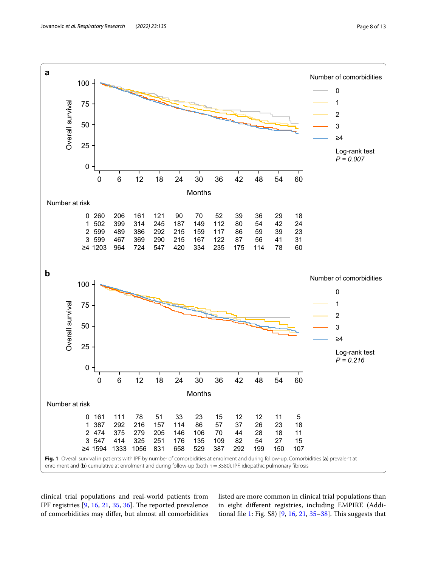

<span id="page-7-0"></span>clinical trial populations and real-world patients from IPF registries  $[9, 16, 21, 35, 36]$  $[9, 16, 21, 35, 36]$  $[9, 16, 21, 35, 36]$  $[9, 16, 21, 35, 36]$  $[9, 16, 21, 35, 36]$  $[9, 16, 21, 35, 36]$  $[9, 16, 21, 35, 36]$  $[9, 16, 21, 35, 36]$  $[9, 16, 21, 35, 36]$ . The reported prevalence of comorbidities may difer, but almost all comorbidities listed are more common in clinical trial populations than in eight diferent registries, including EMPIRE (Addi-tional file [1:](#page-10-0) Fig.  $S8$ ) [\[9](#page-11-6), [16](#page-12-0), [21,](#page-12-5) [35–](#page-12-17)[38](#page-12-18)]. This suggests that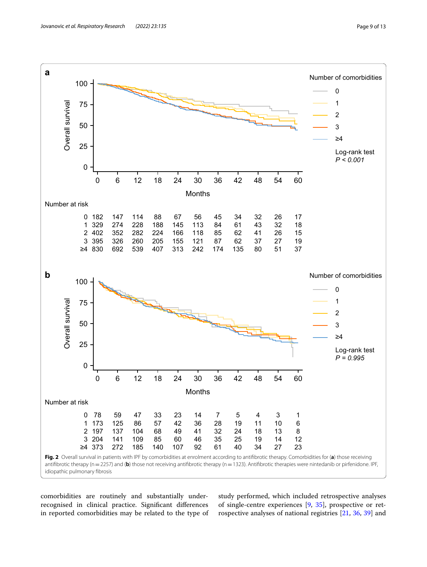

<span id="page-8-0"></span>comorbidities are routinely and substantially underrecognised in clinical practice. Signifcant diferences in reported comorbidities may be related to the type of

study performed, which included retrospective analyses of single-centre experiences [[9,](#page-11-6) [35](#page-12-17)], prospective or retrospective analyses of national registries [\[21](#page-12-5), [36](#page-12-19), [39](#page-12-20)] and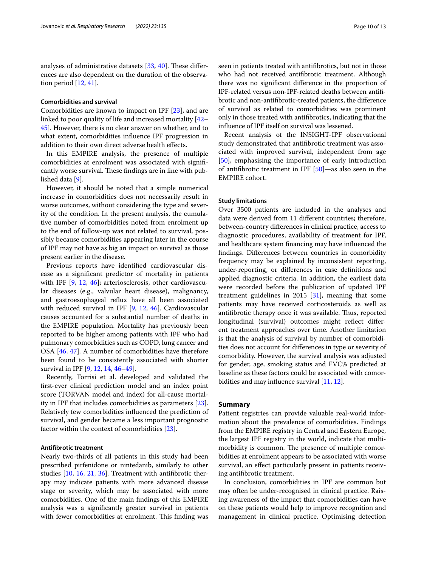analyses of administrative datasets  $[33, 40]$  $[33, 40]$  $[33, 40]$  $[33, 40]$ . These differences are also dependent on the duration of the observation period [[12,](#page-11-9) [41](#page-12-22)].

#### **Comorbidities and survival**

Comorbidities are known to impact on IPF [[23](#page-12-7)], and are linked to poor quality of life and increased mortality [[42–](#page-12-23) [45\]](#page-12-24). However, there is no clear answer on whether, and to what extent, comorbidities infuence IPF progression in addition to their own direct adverse health efects.

In this EMPIRE analysis, the presence of multiple comorbidities at enrolment was associated with signifcantly worse survival. These findings are in line with published data [\[9](#page-11-6)].

However, it should be noted that a simple numerical increase in comorbidities does not necessarily result in worse outcomes, without considering the type and severity of the condition. In the present analysis, the cumulative number of comorbidities noted from enrolment up to the end of follow-up was not related to survival, possibly because comorbidities appearing later in the course of IPF may not have as big an impact on survival as those present earlier in the disease.

Previous reports have identifed cardiovascular disease as a signifcant predictor of mortality in patients with IPF [\[9](#page-11-6), [12,](#page-11-9) [46\]](#page-12-25); arteriosclerosis, other cardiovascular diseases (e.g., valvular heart disease), malignancy, and gastroesophageal refux have all been associated with reduced survival in IPF [[9](#page-11-6), [12](#page-11-9), [46\]](#page-12-25). Cardiovascular causes accounted for a substantial number of deaths in the EMPIRE population. Mortality has previously been reported to be higher among patients with IPF who had pulmonary comorbidities such as COPD, lung cancer and OSA [[46](#page-12-25), [47](#page-12-26)]. A number of comorbidities have therefore been found to be consistently associated with shorter survival in IPF [\[9](#page-11-6), [12](#page-11-9), [14,](#page-11-11) [46](#page-12-25)[–49\]](#page-12-27).

Recently, Torrisi et al. developed and validated the frst-ever clinical prediction model and an index point score (TORVAN model and index) for all-cause mortality in IPF that includes comorbidities as parameters [\[23](#page-12-7)]. Relatively few comorbidities infuenced the prediction of survival, and gender became a less important prognostic factor within the context of comorbidities [\[23](#page-12-7)].

#### **Antifbrotic treatment**

Nearly two-thirds of all patients in this study had been prescribed pirfenidone or nintedanib, similarly to other studies [\[10](#page-11-7), [16](#page-12-0), [21](#page-12-5), [36\]](#page-12-19). Treatment with antifbrotic therapy may indicate patients with more advanced disease stage or severity, which may be associated with more comorbidities. One of the main fndings of this EMPIRE analysis was a signifcantly greater survival in patients with fewer comorbidities at enrolment. This finding was seen in patients treated with antifbrotics, but not in those who had not received antifbrotic treatment. Although there was no signifcant diference in the proportion of IPF-related versus non-IPF-related deaths between antifbrotic and non-antifbrotic-treated patients, the diference of survival as related to comorbidities was prominent only in those treated with antifbrotics, indicating that the infuence of IPF itself on survival was lessened.

Recent analysis of the INSIGHT-IPF observational study demonstrated that antifbrotic treatment was associated with improved survival, independent from age [[50\]](#page-12-28), emphasising the importance of early introduction of antifbrotic treatment in IPF [[50\]](#page-12-28)—as also seen in the EMPIRE cohort.

#### **Study limitations**

Over 3500 patients are included in the analyses and data were derived from 11 diferent countries; therefore, between-country diferences in clinical practice, access to diagnostic procedures, availability of treatment for IPF, and healthcare system fnancing may have infuenced the fndings. Diferences between countries in comorbidity frequency may be explained by inconsistent reporting, under-reporting, or diferences in case defnitions and applied diagnostic criteria. In addition, the earliest data were recorded before the publication of updated IPF treatment guidelines in 2015 [\[31\]](#page-12-13), meaning that some patients may have received corticosteroids as well as antifibrotic therapy once it was available. Thus, reported longitudinal (survival) outcomes might refect diferent treatment approaches over time. Another limitation is that the analysis of survival by number of comorbidities does not account for diferences in type or severity of comorbidity. However, the survival analysis was adjusted for gender, age, smoking status and FVC% predicted at baseline as these factors could be associated with comor-bidities and may influence survival [\[11](#page-11-8), [12](#page-11-9)].

#### **Summary**

Patient registries can provide valuable real-world information about the prevalence of comorbidities. Findings from the EMPIRE registry in Central and Eastern Europe, the largest IPF registry in the world, indicate that multimorbidity is common. The presence of multiple comorbidities at enrolment appears to be associated with worse survival, an efect particularly present in patients receiving antifbrotic treatment.

In conclusion, comorbidities in IPF are common but may often be under-recognised in clinical practice. Raising awareness of the impact that comorbidities can have on these patients would help to improve recognition and management in clinical practice. Optimising detection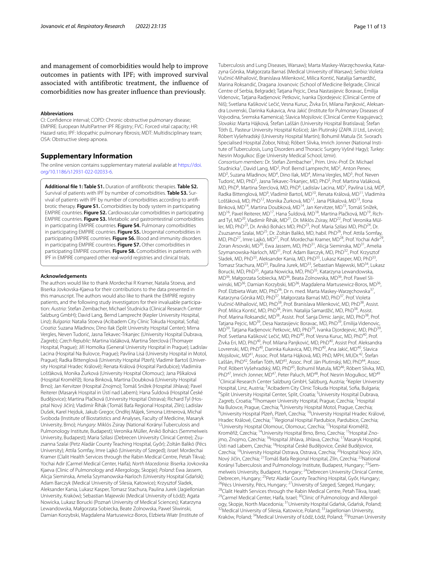and management of comorbidities would help to improve outcomes in patients with IPF; with improved survival associated with antifbrotic treatment, the infuence of comorbidities now has greater infuence than previously.

#### **Abbreviations**

CI: Confdence interval; COPD: Chronic obstructive pulmonary disease; EMPIRE: European MultiPartner IPF REgistry; FVC: Forced vital capacity; HR: Hazard ratio; IPF: Idiopathic pulmonary fbrosis; MDT: Multidisciplinary team; OSA: Obstructive sleep apnoea.

# **Supplementary Information**

The online version contains supplementary material available at [https://doi.](https://doi.org/10.1186/s12931-022-02033-6) [org/10.1186/s12931-022-02033-6](https://doi.org/10.1186/s12931-022-02033-6).

<span id="page-10-0"></span>**Additional fle 1: Table S1.** Duration of antifbrotic therapies. **Table S2.** Survival of patients with IPF by number of comorbidities. Table S3. Survival of patients with IPF by number of comorbidities according to antifibrotic therapy. **Figure S1.** Comorbidities by body system in participating EMPIRE countries. **Figure S2.** Cardiovascular comorbidities in participating EMPIRE countries. **Figure S3.** Metabolic and gastrointestinal comorbidities in participating EMPIRE countries. **Figure S4.** Pulmonary comorbidities in participating EMPIRE countries. **Figure S5.** Urogenital comorbidities in participating EMPIRE countries. **Figure S6.** Blood and immunity disorders in participating EMPIRE countries. **Figure S7.** Other comorbidities in participating EMPIRE countries. **Figure S8.** Comorbidities in patients with IPF in EMPIRE compared other real-world registries and clinical trials.

#### **Acknowledgements**

The authors would like to thank Mordechai R Kramer, Natalia Stoeva, and Biserka Jovkovska-Kjaeva for their contributions to the data presented in this manuscript. The authors would also like to thank the EMPIRE registry patients, and the following study investigators for their invaluable participation: *Austria*: Stefan Zembacher, Michael Studnicka (Clinical Research Center Salzburg GmbH); David Lang, Bernd Lamprecht (Kepler University Hospital, Linz); *Bulgaria*: Natalia Stoeva (Acibadem City Clinic Tokuda Hospital, Sofa); *Croatia*: Suzana Mladinov, Dino Ilak (Split University Hospital Center); Mirna Vergles, Neven Tudorić, Jasna Tekavec-Trkanjec (University Hospital Dubrava, Zagreb); *Czech Republic*: Martina Vašáková, Martina Šterclová (Thomayer Hospital, Prague); Jiří Homolka (General University Hospital in Prague); Ladislav Lacina (Hospital Na Bulovce, Prague); Pavlína Lisá (University Hospital in Motol, Prague); Radka Bittenglová (University Hospital Plzeň); Vladimír Bartoš (University Hospital Hradec Králové); Renata Králová (Hospital Pardubice); Vladimíra Lošťáková, Monika Žurková (University Hospital Olomouc); Jana Pšíkalová (Hospital Kroměříž); Ilona Binková, Martina Doubková (University Hospital Brno); Jan Kervitzer (Hospital Znojmo); Tomáš Snížek (Hospital Jihlava); Pavel Reiterer (Masaryk Hospital in Ústí nad Labem); Hana Šuldová (Hospital České Budějovice); Martina Plačková (University Hospital Ostrava); Richard Tyl (Hospital Nový Jičín); Vladimír Řihák (Tomáš Baťa Regional Hospital, Zlín); Ladislav Dušek, Karel Hejduk, Jakub Gregor, Ondřej Májek, Simona Littnerová, Michal Svoboda (Institute of Biostatistics and Analyses, Faculty of Medicine, Masaryk University, Brno); *Hungary*: Miklós Zsiray (National Korányi Tuberculosis and Pulmonology Institute, Budapest); Veronika Müller, Anikó Bohács (Semmelweis University, Budapest); Maria Szilasi (Debrecen University Clinical Centre); Zsu‑ zsanna Szalai (Petz Aladár County Teaching Hospital, Győr); Zoltán Balikó (Pécs University); Attila Somfay, Imre Lajkó (University of Szeged); *Israel*: Mordechai Kramer (Clalit Health Services through the Rabin Medical Centre, Petah Tikva); Yochai Adir (Carmel Medical Center, Haifa); *North Macedonia*: Biserka Jovkovska Kjaeva (Clinic of Pulmonology and Allergology, Skopje); *Poland*: Ewa Jassem, Alicja Sieminska, Amelia Szymanowska-Narloch (University Hospital Gdańsk); Adam Barczyk (Medical University of Silesia, Katowice); Krzysztof Sladek, Aleksander Kania, Lukasz Kasper, Tomasz Stachura, Paulina Jurek (Jagiellonian University, Kraków); Sebastian Majewski (Medical University of Łódź); Agata Nowicka, Lukasz Borucki (Poznań University of Medical Sciences); Katarzyna Lewandowska, Małgorzata Sobiecka, Beate Zolnowska, Pawel Sliwinski, Damian Korzybski, Magdalena Martusewicz-Boros, Elzbieta Wiatr (Institute of

Tuberculosis and Lung Diseases, Warsaw); Marta Maskey-Warzęchowska, Katar‑ zyna Górska, Małgorzata Barnaś (Medical University of Warsaw); *Serbia*: Violeta Vučinić-Mihailović, Branislava Milenković, Milica Kontić, Natalija Samardžić, Marina Roksandić, Dragana Jovanovic (School of Medicine Belgrade, Clinical Centre of Serbia, Belgrade); Tatjana Pejcic, Desa Nastasijevic Boravac, Emilija Videnovic, Tatjana Radjenovic Petkovic, Ivanka Djordejevic (Clinical Centre of Niš); Svetlana Kašiković Lečić, Vesna Kuruc, Živka Eri, Milana Panjković, Aleksan‑ dra Lovrenski, Darinka Kukavica, Ana Jakić (Institute for Pulmonary Diseases of Vojvodina, Sremska Kamenica); Slavica Mojsilovic (Clinical Centre Kragujevac); *Slovakia*: Marta Hájková, Štefan Laššán (University Hospital Bratislava); Štefan Tóth (L. Pasteur University Hospital Košice); Ján Plutinský (ZAPA JJ Ltd., Levice); Róbert Vyšehradský (University Hospital Martin); Bohumil Matula (St. Svorad's Specialised Hospital Zobor, Nitra); Róbert Slivka, Imrich Jonner (National Institute of Tuberculosis, Lung Disorders and Thoracic Surgery Vyšné Hagy); *Turkey*: Nesrin Mogulkoc (Ege University Medical School, Izmir). Consortium members: Dr. Stefan Zembacher<sup>1</sup>, Prim. Univ.-Prof. Dr. Michael Studnicka<sup>1</sup>, David Lang, MD<sup>2</sup>, Prof. Bernd Lamprecht, MD<sup>2</sup>, Anton Penev, MD<sup>3</sup>, Suzana Mladinov, MD<sup>4</sup>, Dino Ilak, MD<sup>4</sup>, Mirna Vergles, MD<sup>5</sup>, Prof. Neven Tudorić, MD, PhD<sup>5</sup>, Jasna Tekavec-Trkanjec, MD, PhD<sup>5</sup>, Prof. Martina Vašáková, MD, PhD<sup>6</sup>, Martina Šterclová, MD, PhD<sup>6</sup>, Ladislav Lacina, MD<sup>7</sup>, Pavlína Lisá, MD<sup>8</sup>, Radka Bittenglová, MD<sup>9</sup>, Vladimír Bartoš, MD<sup>10</sup>, Renata Králová, MD<sup>11</sup>, Vladimíra Lošťáková, MD, PhD12, Monika Žurková, MD12, Jana Pšíkalová, MD13, Ilona Binková, MD14, Martina Doubková, MD14, Jan Kervitzer, MD15, Tomáš Snížek, MD<sup>16</sup>, Pavel Reiterer, MD<sup>17</sup>, Hana Šuldová, MD<sup>18</sup>, Martina Plačková, MD<sup>19</sup>, Richard Tyl, MD<sup>20</sup>, Vladimír Řihák, MD<sup>21</sup>, Dr. Miklós Zsiray, MD<sup>22</sup>, Prof. Veronika Müller, MD, PhD<sup>23</sup>, Dr. Anikó Bohács MD, PhD<sup>23</sup>, Prof. Maria Szilasi MD, PhD<sup>24</sup>, Dr. Zsuzsanna Szalai, MD<sup>25</sup>, Dr. Zoltán Balikó, MD, habil. PhD<sup>26</sup>, Prof. Attila Somfay, MD, PhD<sup>27</sup>, Imre Lajkó, MD<sup>27</sup>, Prof. Mordechai Kramer, MD<sup>28</sup>, Prof. Yochai Adir<sup>29</sup> Zoran Arsovski, MD<sup>30</sup>, Ewa Jassem, MD, PhD<sup>31</sup>, Alicja Sieminska, MD<sup>31</sup>, Amelia Szymanowska-Narloch, MD<sup>31</sup>, Prof. Adam Barczyk, MD, PhD<sup>32</sup>, Prof. Krzysztof Sladek, MD, PhD<sup>33</sup>, Aleksander Kania, MD, PhD<sup>33</sup>, Lukasz Kasper, MD, PhD<sup>33</sup>, Tomasz Stachura, MD<sup>33</sup>, Paulina Jurek, MD<sup>33</sup>, Sebastian Majewski, MD<sup>34</sup>, Lukasz Borucki, MD, PhD<sup>35</sup>, Agata Nowicka, MD, PhD<sup>35</sup>, Katarzyna Lewandowska, MD<sup>36</sup>, Małgorzata Sobiecka, MD<sup>36</sup>, Beata Zolnowska, MD<sup>36</sup>, Prof. Pawel Sliwinski, MD<sup>36</sup>, Damian Korzybski, MD<sup>36</sup>, Magdalena Martusewicz-Boros, MD<sup>36</sup>, Prof. Elzbieta Wiatr, MD, PhD<sup>36</sup>, Dr n. med. Marta Maskey-Warzęchowska<sup>37</sup> Katarzyna Górska MD, PhD37, Małgorzata Barnaś MD, PhD37, Prof. Violeta Vučinić-Mihailović, MD, PhD<sup>38</sup>, Prof. Branislava Milenković, MD, PhD<sup>38</sup>, Assist. Prof. Milica Kontić, MD, PhD<sup>38</sup>, Prim. Natalija Samardžić, MD, PhD<sup>38</sup>, Assist. Prof. Marina Roksandić, MD<sup>38</sup>, Assist. Prof. Sanja Dimic Janjic, MD, PhD<sup>38</sup>, Prof. Tatjana Pejcic, MD<sup>39</sup>, Desa Nastasijevic Boravac, MD, PhD<sup>39</sup>, Emilija Videnovic, MD<sup>39</sup>, Tatjana Radjenovic Petkovic, MD, PhD<sup>39</sup>, Ivanka Djordejevic, MD, PhD<sup>39</sup> Prof. Svetlana Kašiković Lečić, MD, PhD<sup>40</sup>, Prof. Vesna Kuruc, MD, PhD<sup>40</sup>, Prof. Živka Eri, MD, PhD<sup>40</sup>, Prof. Milana Panjković, MD, PhD<sup>40</sup>, Assist Prof. Aleksandra Lovrenski, MD, PhD<sup>40</sup>, Darinka Kukavica, MD, PhD<sup>40</sup>, Ana Jakić, MD<sup>40</sup>, Slavica Mojsilovic, MD<sup>41</sup>, Assoc. Prof. Marta Hájková, MD, PhD, MPH, MUDr.<sup>42</sup>, Štefan Laššán, PhD<sup>42</sup>, Štefan Tóth, MD<sup>43</sup>, Assoc. Prof. Ján Plutinský, MD, PhD<sup>44</sup>, Assoc. Prof. Róbert Vyšehradský, MD, PhD<sup>45</sup>, Bohumil Matula, MD<sup>46</sup>, Róbert Slivka, MD, PhD<sup>47</sup>, Imrich Jonner, MD<sup>47</sup>, Peter Paluch, MD<sup>48</sup>, Prof. Nesrin Mogulkoc, MD<sup>49</sup> <sup>1</sup> Clinical Research Center Salzburg GmbH, Salzburg, Austria; <sup>2</sup> Kepler University Hospital, Linz, Austria; <sup>3</sup>Acibadem City Clinic Tokuda Hospital, Sofia, Bulgaria;<br><sup>4</sup>Solit University Hospital Center, Solit, Croatia: <sup>5</sup>University Hospital Dubraya Split University Hospital Center, Split, Croatia; <sup>5</sup>University Hospital Dubrava, Zagreb, Croatia; <sup>6</sup>Thomayer University Hospital, Prague, Czechia; <sup>7</sup>Hospital Na Bulovce, Prague, Czechia; <sup>8</sup>University Hospital Motol, Prague, Czechia;<br><sup>9</sup>University Hospital Blzoň, Plzoň, Czechia; <sup>10</sup>University Hospital Hradec Kr <sup>9</sup>University Hospital Plzeň, Plzeň, Czechia; <sup>10</sup>University Hospital Hradec Králové,<br>Hradec Králové, Czechia; <sup>11</sup>Regional Hospital Pardubice, Pardubice, Czechia; <sup>12</sup>University Hospital Olomouc, Olomouc, Czechia; <sup>13</sup>Hospital Kroměříž, Kroměříž, Czechia; <sup>14</sup>University Hospital Brno, Brno, Czechia; <sup>15</sup>Hospital Znojmo, Znojmo, Czechia; <sup>16</sup>Hospital Jihlava, Jihlava, Czechia; <sup>17</sup>Masaryk Hospital, Ústi nad Labem, Czechia; 18Hospital České Budějovice, České Budějovice, Czechia; 19University Hospital Ostrava, Ostrava, Czechia; 20Hospital Nový Jičín, Nový Jičín, Czechia; 21Tomáš Baťa Regional Hospital, Zlín, Czechia; 22National Korányi Tuberculosis and Pulmonology Institute, Budapest, Hungary; <sup>23</sup>Semmelweis University, Budapest, Hungary; <sup>24</sup>Debrecen University Clinical Centre,<br>Debrecen, Hungary; <sup>25</sup>Petz Aladár County Teaching Hospital, Győr, Hungary; <sup>26</sup>Pécs University, Pécs, Hungary; <sup>27</sup>University of Szeged, Szeged, Hungary;<br><sup>28</sup>Clalit Health Services through the Rabin Medical Centre, Petah Tikva, Israel; <sup>29</sup>Carmel Medical Center, Haifa, Israel; <sup>30</sup>Clinic of Pulmonology and Allergology, Skopje, North Macedonia; <sup>31</sup>University Hospital Gdańsk, Gdańsk, Poland;<br><sup>32</sup>Medical University of Silesia, Katowice, Poland; <sup>33</sup>Jagiellonian University, Kraków, Poland; 34Medical University of Łódź, Łódź, Poland; 35Poznan University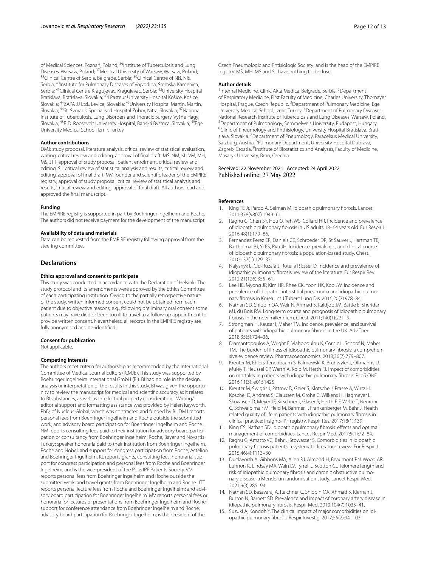of Medical Sciences, Poznań, Poland; <sup>36</sup>Institute of Tuberculosis and Lung Diseases, Warsaw, Poland; <sup>37</sup>Medical University of Warsaw, Warsaw, Poland;<br><sup>38</sup>Clinical Centre of Serbia, Belgrade, Serbia; <sup>39</sup>Clinical Centre of Niš, Niš, Serbia; <sup>40</sup>Institute for Pulmonary Diseases of Vojvodina, Sremska Kamenica, Serbia; 41Clinical Centre Kragujevac, Kragujevac, Serbia; 42University Hospital Bratislava, Bratislava, Slovakia; 43LPasteur University Hospital Košice, Košice, Slovakia; 44ZAPA JJ Ltd., Levice, Slovakia; 45University Hospital Martin, Martin, Slovakia; 46St. Svorad's Specialised Hospital Zobor, Nitra, Slovakia; 47National Institute of Tuberculosis, Lung Disorders and Thoracic Surgery, Vyšné Hagy, Slovakia; 48F. D. Roosevelt University Hospital, Banská Bystrica, Slovakia; 49Ege University Medical School, Izmir, Turkey

#### **Author contributions**

DMJ: study proposal, literature analysis, critical review of statistical evaluation, writing, critical review and editing, approval of fnal draft. MŠ, NM, KL, VM, MH, MS, JTT: approval of study proposal, patient enrolment, critical review and editing. SL: critical review of statistical analysis and results, critical review and editing, approval of fnal draft. MV: founder and scientifc leader of the EMPIRE registry, approval of study proposal, critical review of statistical analysis and results, critical review and editing, approval of fnal draft. All authors read and approved the fnal manuscript.

#### **Funding**

The EMPIRE registry is supported in part by Boehringer Ingelheim and Roche. The authors did not receive payment for the development of the manuscript.

#### **Availability of data and materials**

Data can be requested from the EMPIRE registry following approval from the steering committee.

#### **Declarations**

#### **Ethics approval and consent to participate**

This study was conducted in accordance with the Declaration of Helsinki. The study protocol and its amendments were approved by the Ethics Committee of each participating institution. Owing to the partially retrospective nature of the study, written informed consent could not be obtained from each patient due to objective reasons, e.g., following preliminary oral consent some patients may have died or been too ill to travel to a follow-up appointment to provide written consent. Nevertheless, all records in the EMPIRE registry are fully anonymised and de-identifed.

#### **Consent for publication**

Not applicable.

#### **Competing interests**

The authors meet criteria for authorship as recommended by the International Committee of Medical Journal Editors (ICMJE). This study was supported by Boehringer Ingelheim International GmbH (BI). BI had no role in the design, analysis or interpretation of the results in this study. BI was given the opportunity to review the manuscript for medical and scientifc accuracy as it relates to BI substances, as well as intellectual property considerations. Writing/ editorial support and formatting assistance was provided by Helen Keyworth, PhD, of Nucleus Global, which was contracted and funded by BI. DMJ reports personal fees from Boehringer Ingelheim and Roche outside the submitted work; and advisory board participation for Boehringer Ingelheim and Roche. NM reports consulting fees paid to their institution for advisory board participation or consultancy from Boehringer Ingelheim, Roche, Bayer and Novartis Turkey; speaker honoraria paid to their institution from Boehringer Ingelheim, Roche and Nobel; and support for congress participation from Roche, Actelion and Boehringer Ingelheim. KL reports grants, consulting fees, honoraria, support for congress participation and personal fees from Roche and Boehringer Ingelheim; and is the vice-president of the Polis IPF Patients Society. VM reports personal fees from Boehringer Ingelheim and Roche outside the submitted work; and travel grants from Boehringer Ingelheim and Roche. JTT reports personal lecture fees from Roche and Boehringer Ingelheim; and advisory board participation for Boehringer Ingelheim. MV reports personal fees or honoraria for lectures or presentations from Boehringer Ingelheim and Roche; support for conference attendance from Boehringer Ingelheim and Roche; advisory board participation for Boehringer Ingelheim; is the president of the

Czech Pneumologic and Phtisiologic Society; and is the head of the EMPIRE registry. MŠ, MH, MS and SL have nothing to disclose.

#### **Author details**

<sup>1</sup> Internal Medicine, Clinic Akta Medica, Belgrade, Serbia. <sup>2</sup> Department of Respiratory Medicine, First Faculty of Medicine, Charles University, Thomayer Hospital, Prague, Czech Republic.<sup>3</sup> Department of Pulmonary Medicine, Ege University Medical School, Izmir, Turkey. 4 Department of Pulmonary Diseases, National Research Institute of Tuberculosis and Lung Diseases, Warsaw, Poland. 5 <sup>5</sup> Department of Pulmonology, Semmelweis University, Budapest, Hungary. <sup>6</sup>Clinic of Pneumology and Phthisiology, University Hospital Bratislava, Bratislava, Slovakia. <sup>7</sup> Department of Pneumology, Paracelsus Medical University, Salzburg, Austria. <sup>8</sup>Pulmonary Department, University Hospital Dubrava, Zagreb, Croatia. <sup>9</sup>Institute of Biostatistics and Analyses, Faculty of Medicine, Masaryk University, Brno, Czechia.

#### Received: 22 November 2021 Accepted: 24 April 2022 Published online: 27 May 2022

#### **References**

- <span id="page-11-0"></span>King TE Jr, Pardo A, Selman M. Idiopathic pulmonary fibrosis. Lancet. 2011;378(9807):1949–61.
- <span id="page-11-1"></span>2. Raghu G, Chen SY, Hou Q, Yeh WS, Collard HR. Incidence and prevalence of idiopathic pulmonary fbrosis in US adults 18–64 years old. Eur Respir J. 2016;48(1):179–86.
- 3. Fernandez Perez ER, Daniels CE, Schroeder DR, St Sauver J, Hartman TE, Bartholmai BJ, Yi ES, Ryu JH. Incidence, prevalence, and clinical course of idiopathic pulmonary fbrosis: a population-based study. Chest. 2010;137(1):129–37.
- 4. Nalysnyk L, Cid-Ruzafa J, Rotella P, Esser D. Incidence and prevalence of idiopathic pulmonary fbrosis: review of the literature. Eur Respir Rev. 2012;21(126):355–61.
- <span id="page-11-2"></span>5. Lee HE, Myong JP, Kim HR, Rhee CK, Yoon HK, Koo JW. Incidence and prevalence of idiopathic interstitial pneumonia and idiopathic pulmonary fbrosis in Korea. Int J Tuberc Lung Dis. 2016;20(7):978–84.
- <span id="page-11-3"></span>6. Nathan SD, Shlobin OA, Weir N, Ahmad S, Kaldjob JM, Battle E, Sheridan MJ, du Bois RM. Long-term course and prognosis of idiopathic pulmonary fbrosis in the new millennium. Chest. 2011;140(1):221–9.
- <span id="page-11-4"></span>7. Strongman H, Kausar I, Maher TM. Incidence, prevalence, and survival of patients with idiopathic pulmonary fbrosis in the UK. Adv Ther. 2018;35(5):724–36.
- <span id="page-11-5"></span>8. Diamantopoulos A, Wright E, Vlahopoulou K, Cornic L, Schoof N, Maher TM. The burden of illness of idiopathic pulmonary fibrosis: a comprehensive evidence review. Pharmacoeconomics. 2018;36(7):779–807.
- <span id="page-11-6"></span>9. Kreuter M, Ehlers-Tenenbaum S, Palmowski K, Bruhwyler J, Oltmanns U, Muley T, Heussel CP, Warth A, Kolb M, Herth FJ. Impact of comorbidities on mortality in patients with idiopathic pulmonary fbrosis. PLoS ONE. 2016;11(3): e0151425.
- <span id="page-11-7"></span>10. Kreuter M, Swigris J, Pittrow D, Geier S, Klotsche J, Prasse A, Wirtz H, Koschel D, Andreas S, Claussen M, Grohe C, Wilkens H, Hagmeyer L, Skowasch D, Meyer JF, Kirschner J, Glaser S, Herth FJF, Welte T, Neurohr C, Schwaiblmair M, Held M, Bahmer T, Frankenberger M, Behr J. Health related quality of life in patients with idiopathic pulmonary fbrosis in clinical practice: insights-IPF registry. Respir Res. 2017;18(1):139.
- <span id="page-11-8"></span>11. King CS, Nathan SD. Idiopathic pulmonary fbrosis: efects and optimal management of comorbidities. Lancet Respir Med. 2017;5(1):72–84.
- <span id="page-11-9"></span>12. Raghu G, Amatto VC, Behr J, Stowasser S. Comorbidities in idiopathic pulmonary fbrosis patients: a systematic literature review. Eur Respir J. 2015;46(4):1113–30.
- <span id="page-11-10"></span>13. Duckworth A, Gibbons MA, Allen RJ, Almond H, Beaumont RN, Wood AR, Lunnon K, Lindsay MA, Wain LV, Tyrrell J, Scotton CJ. Telomere length and risk of idiopathic pulmonary fibrosis and chronic obstructive pulmonary disease: a Mendelian randomisation study. Lancet Respir Med. 2021;9(3):285–94.
- <span id="page-11-11"></span>14. Nathan SD, Basavaraj A, Reichner C, Shlobin OA, Ahmad S, Kiernan J, Burton N, Barnett SD. Prevalence and impact of coronary artery disease in idiopathic pulmonary fbrosis. Respir Med. 2010;104(7):1035–41.
- <span id="page-11-12"></span>15. Suzuki A, Kondoh Y. The clinical impact of major comorbidities on idiopathic pulmonary fbrosis. Respir Investig. 2017;55(2):94–103.